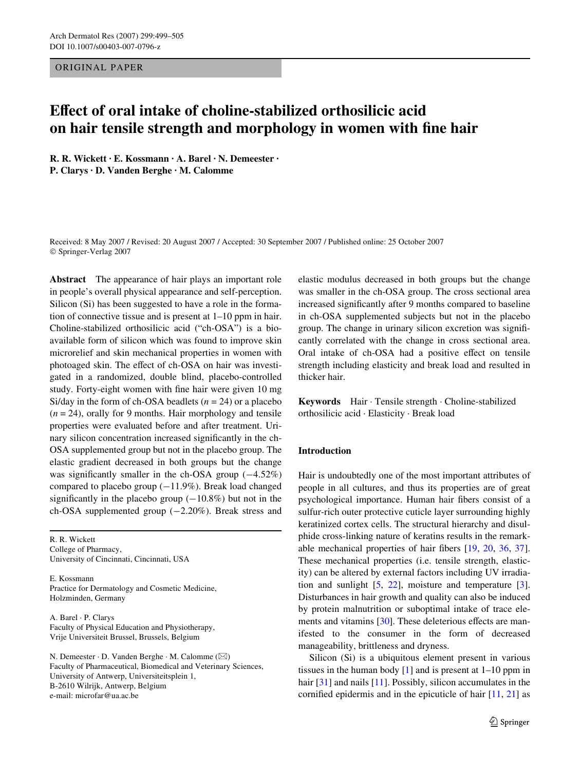# ORIGINAL PAPER

# **EVect of oral intake of choline-stabilized orthosilicic acid on hair tensile strength and morphology in women with fine hair**

**R. R. Wickett · E. Kossmann · A. Barel · N. Demeester · P. Clarys · D. Vanden Berghe · M. Calomme** 

Received: 8 May 2007 / Revised: 20 August 2007 / Accepted: 30 September 2007 / Published online: 25 October 2007 © Springer-Verlag 2007

**Abstract** The appearance of hair plays an important role in people's overall physical appearance and self-perception. Silicon (Si) has been suggested to have a role in the formation of connective tissue and is present at 1–10 ppm in hair. Choline-stabilized orthosilicic acid ("ch-OSA") is a bioavailable form of silicon which was found to improve skin microrelief and skin mechanical properties in women with photoaged skin. The effect of ch-OSA on hair was investigated in a randomized, double blind, placebo-controlled study. Forty-eight women with fine hair were given 10 mg Si/day in the form of ch-OSA beadlets  $(n = 24)$  or a placebo  $(n = 24)$ , orally for 9 months. Hair morphology and tensile properties were evaluated before and after treatment. Urinary silicon concentration increased significantly in the ch-OSA supplemented group but not in the placebo group. The elastic gradient decreased in both groups but the change was significantly smaller in the ch-OSA group  $(-4.52\%)$ compared to placebo group  $(-11.9\%)$ . Break load changed significantly in the placebo group  $(-10.8%)$  but not in the ch-OSA supplemented group  $(-2.20\%)$ . Break stress and

R. R. Wickett College of Pharmacy, University of Cincinnati, Cincinnati, USA

E. Kossmann Practice for Dermatology and Cosmetic Medicine, Holzminden, Germany

A. Barel · P. Clarys Faculty of Physical Education and Physiotherapy, Vrije Universiteit Brussel, Brussels, Belgium

N. Demeester  $\cdot$  D. Vanden Berghe  $\cdot$  M. Calomme ( $\boxtimes$ ) Faculty of Pharmaceutical, Biomedical and Veterinary Sciences, University of Antwerp, Universiteitsplein 1, B-2610 Wilrijk, Antwerp, Belgium e-mail: microfar@ua.ac.be

elastic modulus decreased in both groups but the change was smaller in the ch-OSA group. The cross sectional area increased significantly after 9 months compared to baseline in ch-OSA supplemented subjects but not in the placebo group. The change in urinary silicon excretion was significantly correlated with the change in cross sectional area. Oral intake of ch-OSA had a positive effect on tensile strength including elasticity and break load and resulted in thicker hair.

**Keywords** Hair · Tensile strength · Choline-stabilized orthosilicic acid · Elasticity · Break load

# **Introduction**

Hair is undoubtedly one of the most important attributes of people in all cultures, and thus its properties are of great psychological importance. Human hair fibers consist of a sulfur-rich outer protective cuticle layer surrounding highly keratinized cortex cells. The structural hierarchy and disulphide cross-linking nature of keratins results in the remarkable mechanical properties of hair fibers  $[19, 20, 36, 37]$  $[19, 20, 36, 37]$  $[19, 20, 36, 37]$  $[19, 20, 36, 37]$  $[19, 20, 36, 37]$  $[19, 20, 36, 37]$  $[19, 20, 36, 37]$  $[19, 20, 36, 37]$ . These mechanical properties (i.e. tensile strength, elasticity) can be altered by external factors including UV irradiation and sunlight  $[5, 22]$  $[5, 22]$  $[5, 22]$  $[5, 22]$  $[5, 22]$ , moisture and temperature  $[3]$  $[3]$ . Disturbances in hair growth and quality can also be induced by protein malnutrition or suboptimal intake of trace elements and vitamins  $[30]$  $[30]$ . These deleterious effects are manifested to the consumer in the form of decreased manageability, brittleness and dryness.

Silicon (Si) is a ubiquitous element present in various tissues in the human body  $[1]$  $[1]$  and is present at  $1-10$  ppm in hair [\[31](#page-6-9)] and nails [\[11](#page-6-10)]. Possibly, silicon accumulates in the cornified epidermis and in the epicuticle of hair  $[11, 21]$  $[11, 21]$  $[11, 21]$  as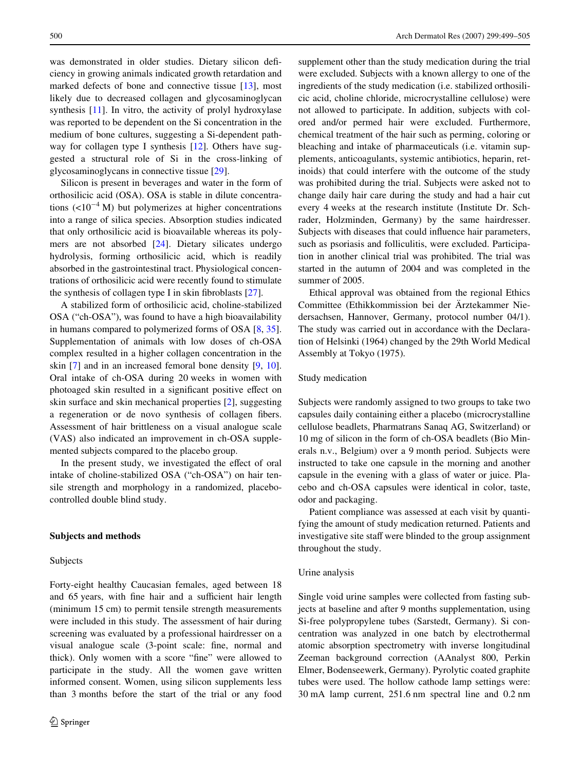was demonstrated in older studies. Dietary silicon deficiency in growing animals indicated growth retardation and marked defects of bone and connective tissue [[13\]](#page-6-12), most likely due to decreased collagen and glycosaminoglycan synthesis [[11\]](#page-6-10). In vitro, the activity of prolyl hydroxylase was reported to be dependent on the Si concentration in the medium of bone cultures, suggesting a Si-dependent pathway for collagen type I synthesis  $[12]$  $[12]$ . Others have suggested a structural role of Si in the cross-linking of glycosaminoglycans in connective tissue [[29\]](#page-6-14).

Silicon is present in beverages and water in the form of orthosilicic acid (OSA). OSA is stable in dilute concentrations  $(<10<sup>-4</sup> M)$  but polymerizes at higher concentrations into a range of silica species. Absorption studies indicated that only orthosilicic acid is bioavailable whereas its polymers are not absorbed [[24\]](#page-6-15). Dietary silicates undergo hydrolysis, forming orthosilicic acid, which is readily absorbed in the gastrointestinal tract. Physiological concentrations of orthosilicic acid were recently found to stimulate the synthesis of collagen type I in skin fibroblasts  $[27]$  $[27]$ .

A stabilized form of orthosilicic acid, choline-stabilized OSA ("ch-OSA"), was found to have a high bioavailability in humans compared to polymerized forms of OSA [\[8](#page-6-17), [35](#page-6-18)]. Supplementation of animals with low doses of ch-OSA complex resulted in a higher collagen concentration in the skin [[7\]](#page-6-19) and in an increased femoral bone density [\[9](#page-6-20), [10](#page-6-21)]. Oral intake of ch-OSA during 20 weeks in women with photoaged skin resulted in a significant positive effect on skin surface and skin mechanical properties [[2\]](#page-6-22), suggesting a regeneration or de novo synthesis of collagen fibers. Assessment of hair brittleness on a visual analogue scale (VAS) also indicated an improvement in ch-OSA supplemented subjects compared to the placebo group.

In the present study, we investigated the effect of oral intake of choline-stabilized OSA ("ch-OSA") on hair tensile strength and morphology in a randomized, placebocontrolled double blind study.

# **Subjects and methods**

#### Subjects

Forty-eight healthy Caucasian females, aged between 18 and 65 years, with fine hair and a sufficient hair length (minimum 15 cm) to permit tensile strength measurements were included in this study. The assessment of hair during screening was evaluated by a professional hairdresser on a visual analogue scale (3-point scale: fine, normal and thick). Only women with a score "fine" were allowed to participate in the study. All the women gave written informed consent. Women, using silicon supplements less than 3 months before the start of the trial or any food supplement other than the study medication during the trial were excluded. Subjects with a known allergy to one of the ingredients of the study medication (i.e. stabilized orthosilicic acid, choline chloride, microcrystalline cellulose) were not allowed to participate. In addition, subjects with colored and/or permed hair were excluded. Furthermore, chemical treatment of the hair such as perming, coloring or bleaching and intake of pharmaceuticals (i.e. vitamin supplements, anticoagulants, systemic antibiotics, heparin, retinoids) that could interfere with the outcome of the study was prohibited during the trial. Subjects were asked not to change daily hair care during the study and had a hair cut every 4 weeks at the research institute (Institute Dr. Schrader, Holzminden, Germany) by the same hairdresser. Subjects with diseases that could influence hair parameters, such as psoriasis and folliculitis, were excluded. Participation in another clinical trial was prohibited. The trial was started in the autumn of 2004 and was completed in the summer of 2005.

Ethical approval was obtained from the regional Ethics Committee (Ethikkommission bei der Ärztekammer Niedersachsen, Hannover, Germany, protocol number 04/1). The study was carried out in accordance with the Declaration of Helsinki (1964) changed by the 29th World Medical Assembly at Tokyo (1975).

# Study medication

Subjects were randomly assigned to two groups to take two capsules daily containing either a placebo (microcrystalline cellulose beadlets, Pharmatrans Sanaq AG, Switzerland) or 10 mg of silicon in the form of ch-OSA beadlets (Bio Minerals n.v., Belgium) over a 9 month period. Subjects were instructed to take one capsule in the morning and another capsule in the evening with a glass of water or juice. Placebo and ch-OSA capsules were identical in color, taste, odor and packaging.

Patient compliance was assessed at each visit by quantifying the amount of study medication returned. Patients and investigative site staff were blinded to the group assignment throughout the study.

#### Urine analysis

Single void urine samples were collected from fasting subjects at baseline and after 9 months supplementation, using Si-free polypropylene tubes (Sarstedt, Germany). Si concentration was analyzed in one batch by electrothermal atomic absorption spectrometry with inverse longitudinal Zeeman background correction (AAnalyst 800, Perkin Elmer, Bodenseewerk, Germany). Pyrolytic coated graphite tubes were used. The hollow cathode lamp settings were: 30 mA lamp current, 251.6 nm spectral line and 0.2 nm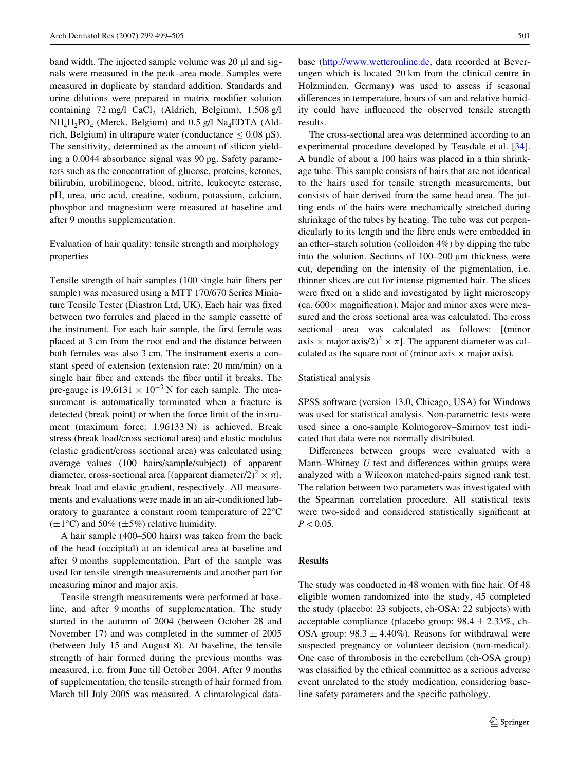band width. The injected sample volume was  $20 \mu l$  and signals were measured in the peak–area mode. Samples were measured in duplicate by standard addition. Standards and urine dilutions were prepared in matrix modifier solution containing 72 mg/l  $CaCl<sub>2</sub>$  (Aldrich, Belgium), 1.508 g/l  $NH<sub>4</sub>H<sub>2</sub>PO<sub>4</sub>$  (Merck, Belgium) and 0.5 g/l Na<sub>4</sub>EDTA (Aldrich, Belgium) in ultrapure water (conductance  $\leq 0.08 \mu S$ ). The sensitivity, determined as the amount of silicon yielding a 0.0044 absorbance signal was 90 pg. Safety parameters such as the concentration of glucose, proteins, ketones, bilirubin, urobilinogene, blood, nitrite, leukocyte esterase, pH, urea, uric acid, creatine, sodium, potassium, calcium, phosphor and magnesium were measured at baseline and after 9 months supplementation.

# Evaluation of hair quality: tensile strength and morphology properties

Tensile strength of hair samples (100 single hair fibers per sample) was measured using a MTT 170/670 Series Miniature Tensile Tester (Diastron Ltd, UK). Each hair was fixed between two ferrules and placed in the sample cassette of the instrument. For each hair sample, the first ferrule was placed at 3 cm from the root end and the distance between both ferrules was also 3 cm. The instrument exerts a constant speed of extension (extension rate: 20 mm/min) on a single hair fiber and extends the fiber until it breaks. The pre-gauge is  $19.6131 \times 10^{-3}$  N for each sample. The measurement is automatically terminated when a fracture is detected (break point) or when the force limit of the instrument (maximum force: 1.96133 N) is achieved. Break stress (break load/cross sectional area) and elastic modulus (elastic gradient/cross sectional area) was calculated using average values (100 hairs/sample/subject) of apparent diameter, cross-sectional area [(apparent diameter/2)<sup>2</sup>  $\times \pi$ ], break load and elastic gradient, respectively. All measurements and evaluations were made in an air-conditioned laboratory to guarantee a constant room temperature of 22°C  $(\pm 1^{\circ}C)$  and 50%  $(\pm 5\%)$  relative humidity.

A hair sample (400–500 hairs) was taken from the back of the head (occipital) at an identical area at baseline and after 9 months supplementation. Part of the sample was used for tensile strength measurements and another part for measuring minor and major axis.

Tensile strength measurements were performed at baseline, and after 9 months of supplementation. The study started in the autumn of 2004 (between October 28 and November 17) and was completed in the summer of 2005 (between July 15 and August 8). At baseline, the tensile strength of hair formed during the previous months was measured, i.e. from June till October 2004. After 9 months of supplementation, the tensile strength of hair formed from March till July 2005 was measured. A climatological database [\(http://www.wetteronline.de,](http://www.wetteronline.de) data recorded at Beverungen which is located 20 km from the clinical centre in Holzminden, Germany) was used to assess if seasonal differences in temperature, hours of sun and relative humidity could have influenced the observed tensile strength results.

The cross-sectional area was determined according to an experimental procedure developed by Teasdale et al. [\[34\]](#page-6-23). A bundle of about a 100 hairs was placed in a thin shrinkage tube. This sample consists of hairs that are not identical to the hairs used for tensile strength measurements, but consists of hair derived from the same head area. The jutting ends of the hairs were mechanically stretched during shrinkage of the tubes by heating. The tube was cut perpendicularly to its length and the fibre ends were embedded in an ether–starch solution (colloidon 4%) by dipping the tube into the solution. Sections of 100–200 um thickness were cut, depending on the intensity of the pigmentation, i.e. thinner slices are cut for intense pigmented hair. The slices were fixed on a slide and investigated by light microscopy (ca.  $600 \times$  magnification). Major and minor axes were measured and the cross sectional area was calculated. The cross sectional area was calculated as follows: [(minor axis  $\times$  major axis/2)<sup>2</sup>  $\times \pi$ . The apparent diameter was calculated as the square root of (minor axis  $\times$  major axis).

#### Statistical analysis

SPSS software (version 13.0, Chicago, USA) for Windows was used for statistical analysis. Non-parametric tests were used since a one-sample Kolmogorov–Smirnov test indicated that data were not normally distributed.

Differences between groups were evaluated with a Mann–Whitney *U* test and differences within groups were analyzed with a Wilcoxon matched-pairs signed rank test. The relation between two parameters was investigated with the Spearman correlation procedure. All statistical tests were two-sided and considered statistically significant at  $P < 0.05$ .

# **Results**

The study was conducted in 48 women with fine hair. Of 48 eligible women randomized into the study, 45 completed the study (placebo: 23 subjects, ch-OSA: 22 subjects) with acceptable compliance (placebo group:  $98.4 \pm 2.33\%$ , ch-OSA group:  $98.3 \pm 4.40\%$ ). Reasons for withdrawal were suspected pregnancy or volunteer decision (non-medical). One case of thrombosis in the cerebellum (ch-OSA group) was classified by the ethical committee as a serious adverse event unrelated to the study medication, considering baseline safety parameters and the specific pathology.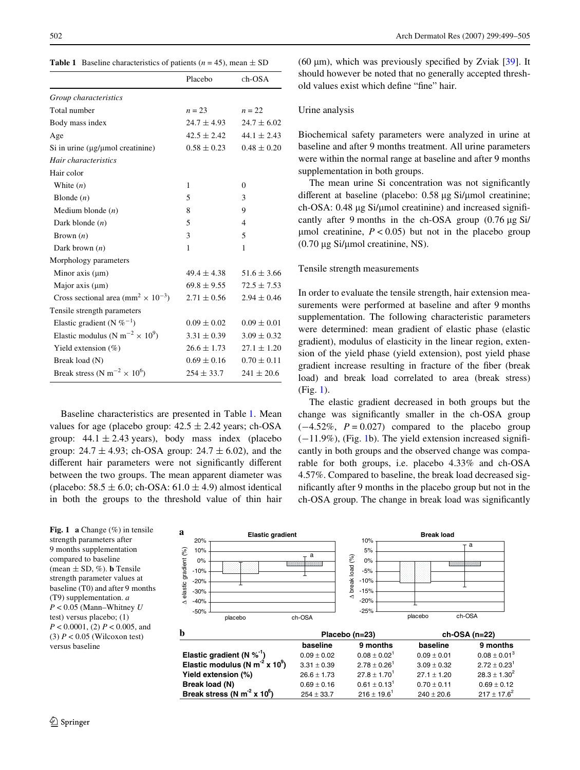<span id="page-3-0"></span>**Table 1** Baseline characteristics of patients ( $n = 45$ ), mean  $\pm$  SD

|                                                                   | Placebo         | $ch-OSA$        |
|-------------------------------------------------------------------|-----------------|-----------------|
| Group characteristics                                             |                 |                 |
| Total number                                                      | $n = 23$        | $n = 22$        |
| Body mass index                                                   | $24.7 \pm 4.93$ | $24.7 \pm 6.02$ |
| Age                                                               | $42.5 \pm 2.42$ | $44.1 \pm 2.43$ |
| Si in urine $(\mu g/\mu mol$ creatinine)                          | $0.58 \pm 0.23$ | $0.48 \pm 0.20$ |
| Hair characteristics                                              |                 |                 |
| Hair color                                                        |                 |                 |
| White $(n)$                                                       | 1               | $\Omega$        |
| Blonde $(n)$                                                      | 5               | 3               |
| Medium blonde $(n)$                                               | 8               | 9               |
| Dark blonde $(n)$                                                 | 5               | $\overline{4}$  |
| Brown $(n)$                                                       | 3               | 5               |
| Dark brown $(n)$                                                  | 1               | 1               |
| Morphology parameters                                             |                 |                 |
| Minor axis $(\mu m)$                                              | $49.4 \pm 4.38$ | $51.6 \pm 3.66$ |
| Major axis $(\mu m)$                                              | $69.8 \pm 9.55$ | $72.5 \pm 7.53$ |
| Cross sectional area (mm <sup>2</sup> $\times$ 10 <sup>-3</sup> ) | $2.71 \pm 0.56$ | $2.94 \pm 0.46$ |
| Tensile strength parameters                                       |                 |                 |
| Elastic gradient (N $\%^{-1}$ )                                   | $0.09 \pm 0.02$ | $0.09 \pm 0.01$ |
| Elastic modulus (N m <sup>-2</sup> $\times$ 10 <sup>9</sup> )     | $3.31 \pm 0.39$ | $3.09 \pm 0.32$ |
| Yield extension $(\%)$                                            | $26.6 \pm 1.73$ | $27.1 \pm 1.20$ |
| Break load (N)                                                    | $0.69 \pm 0.16$ | $0.70 \pm 0.11$ |
| Break stress (N m <sup>-2</sup> $\times$ 10 <sup>6</sup> )        | $254 \pm 33.7$  | $241 \pm 20.6$  |

Baseline characteristics are presented in Table [1](#page-3-0). Mean values for age (placebo group:  $42.5 \pm 2.42$  years; ch-OSA group:  $44.1 \pm 2.43$  years), body mass index (placebo group:  $24.7 \pm 4.93$ ; ch-OSA group:  $24.7 \pm 6.02$ ), and the different hair parameters were not significantly different between the two groups. The mean apparent diameter was (placebo:  $58.5 \pm 6.0$ ; ch-OSA:  $61.0 \pm 4.9$ ) almost identical in both the groups to the threshold value of thin hair

Break stress (N m<sup>-2</sup> x 10<sup>6</sup>)

(60  $\mu$ m), which was previously specified by Zviak [\[39](#page-6-24)]. It should however be noted that no generally accepted threshold values exist which define "fine" hair.

# Urine analysis

Biochemical safety parameters were analyzed in urine at baseline and after 9 months treatment. All urine parameters were within the normal range at baseline and after 9 months supplementation in both groups.

The mean urine Si concentration was not significantly different at baseline (placebo:  $0.58 \mu g$  Si/ $\mu$ mol creatinine; ch-OSA:  $0.48 \mu g$  Si/ $\mu$ mol creatinine) and increased significantly after 9 months in the ch-OSA group  $(0.76 \mu g \text{ Si})$  $\mu$ mol creatinine,  $P < 0.05$ ) but not in the placebo group  $(0.70 \,\mu g \, \text{Si/µmol} \, \text{c}$ reatinine, NS).

#### Tensile strength measurements

In order to evaluate the tensile strength, hair extension measurements were performed at baseline and after 9 months supplementation. The following characteristic parameters were determined: mean gradient of elastic phase (elastic gradient), modulus of elasticity in the linear region, extension of the yield phase (yield extension), post yield phase gradient increase resulting in fracture of the fiber (break load) and break load correlated to area (break stress) (Fig. [1\)](#page-3-1).

The elastic gradient decreased in both groups but the change was significantly smaller in the ch-OSA group  $(-4.52\%, P = 0.027)$  compared to the placebo group  $(-11.9\%)$ , (Fig. [1b](#page-3-1)). The yield extension increased significantly in both groups and the observed change was comparable for both groups, i.e. placebo 4.33% and ch-OSA 4.57%. Compared to baseline, the break load decreased significantly after 9 months in the placebo group but not in the ch-OSA group. The change in break load was significantly

 $254 \pm 33.7$  216  $\pm$  19.6<sup>1</sup> 240  $\pm$  20.6 217  $\pm$  17.6<sup>2</sup>

<span id="page-3-1"></span>Fig. 1 a Change (%) in tensile strength parameters after 9 months supplementation compared to baseline (mean  $\pm$  SD, %). **b** Tensile strength parameter values at baseline (T0) and after 9 months (T9) supplementation. *a P* < 0.05 (Mann–Whitney *U* test) versus placebo; (1) *P* < 0.0001, (2) *P* < 0.005, and (3)  $P < 0.05$  (Wilcoxon test) versus baseline



**Break load (N)**  $0.69 \pm 0.16$   $0.61 \pm 0.13$ <sup>1</sup>  $0.70 \pm 0.11$   $0.69 \pm 0.12$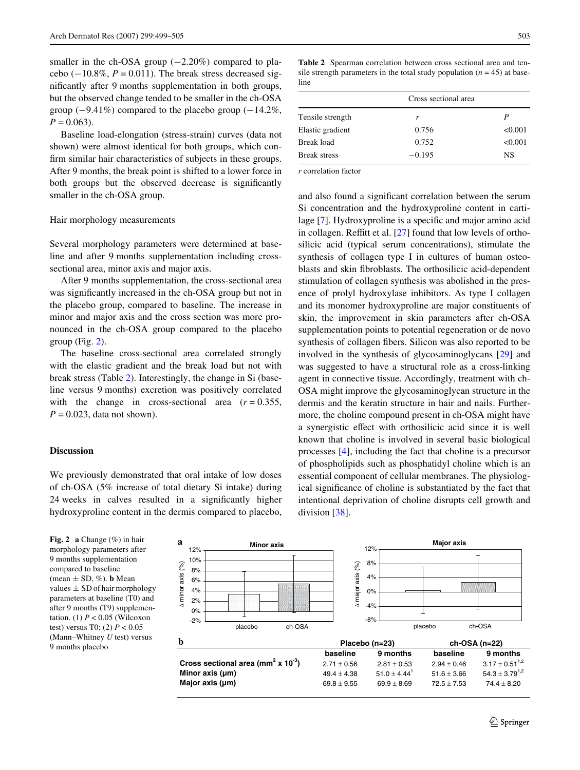smaller in the ch-OSA group  $(-2.20\%)$  compared to placebo  $(-10.8\%, P = 0.011)$ . The break stress decreased significantly after 9 months supplementation in both groups, but the observed change tended to be smaller in the ch-OSA group  $(-9.41\%)$  compared to the placebo group  $(-14.2\%$ ,  $P = 0.063$ ).

Baseline load-elongation (stress-strain) curves (data not shown) were almost identical for both groups, which confirm similar hair characteristics of subjects in these groups. After 9 months, the break point is shifted to a lower force in both groups but the observed decrease is significantly smaller in the ch-OSA group.

#### Hair morphology measurements

Several morphology parameters were determined at baseline and after 9 months supplementation including crosssectional area, minor axis and major axis.

After 9 months supplementation, the cross-sectional area was significantly increased in the ch-OSA group but not in the placebo group, compared to baseline. The increase in minor and major axis and the cross section was more pronounced in the ch-OSA group compared to the placebo group (Fig. [2\)](#page-4-0).

The baseline cross-sectional area correlated strongly with the elastic gradient and the break load but not with break stress (Table [2](#page-4-1)). Interestingly, the change in Si (baseline versus 9 months) excretion was positively correlated with the change in cross-sectional area  $(r = 0.355,$  $P = 0.023$ , data not shown).

### **Discussion**

We previously demonstrated that oral intake of low doses of ch-OSA (5% increase of total dietary Si intake) during 24 weeks in calves resulted in a significantly higher hydroxyproline content in the dermis compared to placebo, <span id="page-4-1"></span>**Table 2** Spearman correlation between cross sectional area and tensile strength parameters in the total study population  $(n = 45)$  at baseline

|                     | Cross sectional area |         |
|---------------------|----------------------|---------|
| Tensile strength    | r                    | P       |
| Elastic gradient    | 0.756                | < 0.001 |
| Break load          | 0.752                | < 0.001 |
| <b>Break stress</b> | $-0.195$             | NS      |

*r* correlation factor

and also found a significant correlation between the serum Si concentration and the hydroxyproline content in carti-lage [[7\]](#page-6-19). Hydroxyproline is a specific and major amino acid in collagen. Reffitt et al.  $[27]$  $[27]$  $[27]$  found that low levels of orthosilicic acid (typical serum concentrations), stimulate the synthesis of collagen type I in cultures of human osteoblasts and skin fibroblasts. The orthosilicic acid-dependent stimulation of collagen synthesis was abolished in the presence of prolyl hydroxylase inhibitors. As type I collagen and its monomer hydroxyproline are major constituents of skin, the improvement in skin parameters after ch-OSA supplementation points to potential regeneration or de novo synthesis of collagen fibers. Silicon was also reported to be involved in the synthesis of glycosaminoglycans [[29\]](#page-6-14) and was suggested to have a structural role as a cross-linking agent in connective tissue. Accordingly, treatment with ch-OSA might improve the glycosaminoglycan structure in the dermis and the keratin structure in hair and nails. Furthermore, the choline compound present in ch-OSA might have a synergistic effect with orthosilicic acid since it is well known that choline is involved in several basic biological processes [[4\]](#page-6-25), including the fact that choline is a precursor of phospholipids such as phosphatidyl choline which is an essential component of cellular membranes. The physiological significance of choline is substantiated by the fact that intentional deprivation of choline disrupts cell growth and division [\[38](#page-6-26)].

<span id="page-4-0"></span>**Fig. 2 a** Change (%) in hair morphology parameters after 9 months supplementation compared to baseline (mean  $\pm$  SD, %). **b** Mean values  $\pm$  SD of hair morphology parameters at baseline (T0) and after 9 months (T9) supplementation. (1)  $P < 0.05$  (Wilcoxon test) versus T0; (2) *P* < 0.05 (Mann–Whitney *U* test) versus

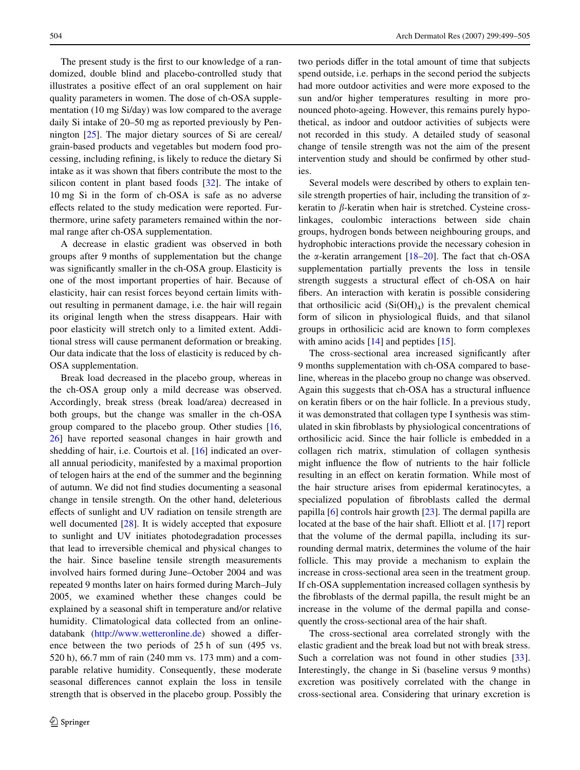The present study is the first to our knowledge of a randomized, double blind and placebo-controlled study that illustrates a positive effect of an oral supplement on hair quality parameters in women. The dose of ch-OSA supplementation (10 mg Si/day) was low compared to the average daily Si intake of 20–50 mg as reported previously by Pennington [[25\]](#page-6-27). The major dietary sources of Si are cereal/ grain-based products and vegetables but modern food processing, including refining, is likely to reduce the dietary Si intake as it was shown that fibers contribute the most to the silicon content in plant based foods [\[32](#page-6-28)]. The intake of 10 mg Si in the form of ch-OSA is safe as no adverse effects related to the study medication were reported. Furthermore, urine safety parameters remained within the normal range after ch-OSA supplementation.

A decrease in elastic gradient was observed in both groups after 9 months of supplementation but the change was significantly smaller in the ch-OSA group. Elasticity is one of the most important properties of hair. Because of elasticity, hair can resist forces beyond certain limits without resulting in permanent damage, i.e. the hair will regain its original length when the stress disappears. Hair with poor elasticity will stretch only to a limited extent. Additional stress will cause permanent deformation or breaking. Our data indicate that the loss of elasticity is reduced by ch-OSA supplementation.

Break load decreased in the placebo group, whereas in the ch-OSA group only a mild decrease was observed. Accordingly, break stress (break load/area) decreased in both groups, but the change was smaller in the ch-OSA group compared to the placebo group. Other studies [[16,](#page-6-29) [26](#page-6-30)] have reported seasonal changes in hair growth and shedding of hair, i.e. Courtois et al. [\[16](#page-6-29)] indicated an overall annual periodicity, manifested by a maximal proportion of telogen hairs at the end of the summer and the beginning of autumn. We did not find studies documenting a seasonal change in tensile strength. On the other hand, deleterious effects of sunlight and UV radiation on tensile strength are well documented [\[28](#page-6-31)]. It is widely accepted that exposure to sunlight and UV initiates photodegradation processes that lead to irreversible chemical and physical changes to the hair. Since baseline tensile strength measurements involved hairs formed during June–October 2004 and was repeated 9 months later on hairs formed during March–July 2005, we examined whether these changes could be explained by a seasonal shift in temperature and/or relative humidity. Climatological data collected from an online-databank [\(http://www.wetteronline.de\)](http://www.wetteronline.de) showed a difference between the two periods of 25 h of sun (495 vs. 520 h), 66.7 mm of rain (240 mm vs. 173 mm) and a comparable relative humidity. Consequently, these moderate seasonal differences cannot explain the loss in tensile strength that is observed in the placebo group. Possibly the two periods differ in the total amount of time that subjects spend outside, i.e. perhaps in the second period the subjects had more outdoor activities and were more exposed to the sun and/or higher temperatures resulting in more pronounced photo-ageing. However, this remains purely hypothetical, as indoor and outdoor activities of subjects were not recorded in this study. A detailed study of seasonal change of tensile strength was not the aim of the present intervention study and should be confirmed by other studies.

Several models were described by others to explain tensile strength properties of hair, including the transition of  $\alpha$ keratin to  $\beta$ -keratin when hair is stretched. Cysteine crosslinkages, coulombic interactions between side chain groups, hydrogen bonds between neighbouring groups, and hydrophobic interactions provide the necessary cohesion in the  $\alpha$ -keratin arrangement [[18–](#page-6-32)[20\]](#page-6-1). The fact that ch-OSA supplementation partially prevents the loss in tensile strength suggests a structural effect of ch-OSA on hair fibers. An interaction with keratin is possible considering that orthosilicic acid  $(Si(OH)_4)$  is the prevalent chemical form of silicon in physiological fluids, and that silanol groups in orthosilicic acid are known to form complexes with amino acids [\[14](#page-6-33)] and peptides [\[15](#page-6-34)].

The cross-sectional area increased significantly after 9 months supplementation with ch-OSA compared to baseline, whereas in the placebo group no change was observed. Again this suggests that ch-OSA has a structural influence on keratin fibers or on the hair follicle. In a previous study, it was demonstrated that collagen type I synthesis was stimulated in skin fibroblasts by physiological concentrations of orthosilicic acid. Since the hair follicle is embedded in a collagen rich matrix, stimulation of collagen synthesis might influence the flow of nutrients to the hair follicle resulting in an effect on keratin formation. While most of the hair structure arises from epidermal keratinocytes, a specialized population of fibroblasts called the dermal papilla [\[6](#page-6-35)] controls hair growth [\[23](#page-6-36)]. The dermal papilla are located at the base of the hair shaft. Elliott et al. [\[17\]](#page-6-37) report that the volume of the dermal papilla, including its surrounding dermal matrix, determines the volume of the hair follicle. This may provide a mechanism to explain the increase in cross-sectional area seen in the treatment group. If ch-OSA supplementation increased collagen synthesis by the fibroblasts of the dermal papilla, the result might be an increase in the volume of the dermal papilla and consequently the cross-sectional area of the hair shaft.

The cross-sectional area correlated strongly with the elastic gradient and the break load but not with break stress. Such a correlation was not found in other studies [\[33\]](#page-6-38). Interestingly, the change in Si (baseline versus 9 months) excretion was positively correlated with the change in cross-sectional area. Considering that urinary excretion is